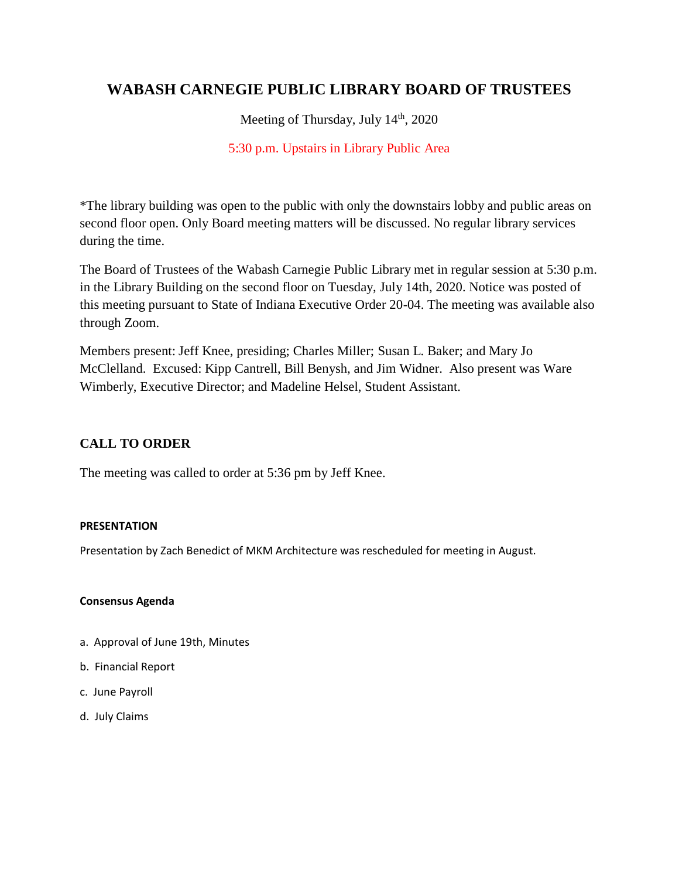# **WABASH CARNEGIE PUBLIC LIBRARY BOARD OF TRUSTEES**

Meeting of Thursday, July 14<sup>th</sup>, 2020

# 5:30 p.m. Upstairs in Library Public Area

\*The library building was open to the public with only the downstairs lobby and public areas on second floor open. Only Board meeting matters will be discussed. No regular library services during the time.

The Board of Trustees of the Wabash Carnegie Public Library met in regular session at 5:30 p.m. in the Library Building on the second floor on Tuesday, July 14th, 2020. Notice was posted of this meeting pursuant to State of Indiana Executive Order 20-04. The meeting was available also through Zoom.

Members present: Jeff Knee, presiding; Charles Miller; Susan L. Baker; and Mary Jo McClelland. Excused: Kipp Cantrell, Bill Benysh, and Jim Widner. Also present was Ware Wimberly, Executive Director; and Madeline Helsel, Student Assistant.

# **CALL TO ORDER**

The meeting was called to order at 5:36 pm by Jeff Knee.

### **PRESENTATION**

Presentation by Zach Benedict of MKM Architecture was rescheduled for meeting in August.

### **Consensus Agenda**

- a. Approval of June 19th, Minutes
- b. Financial Report
- c. June Payroll
- d. July Claims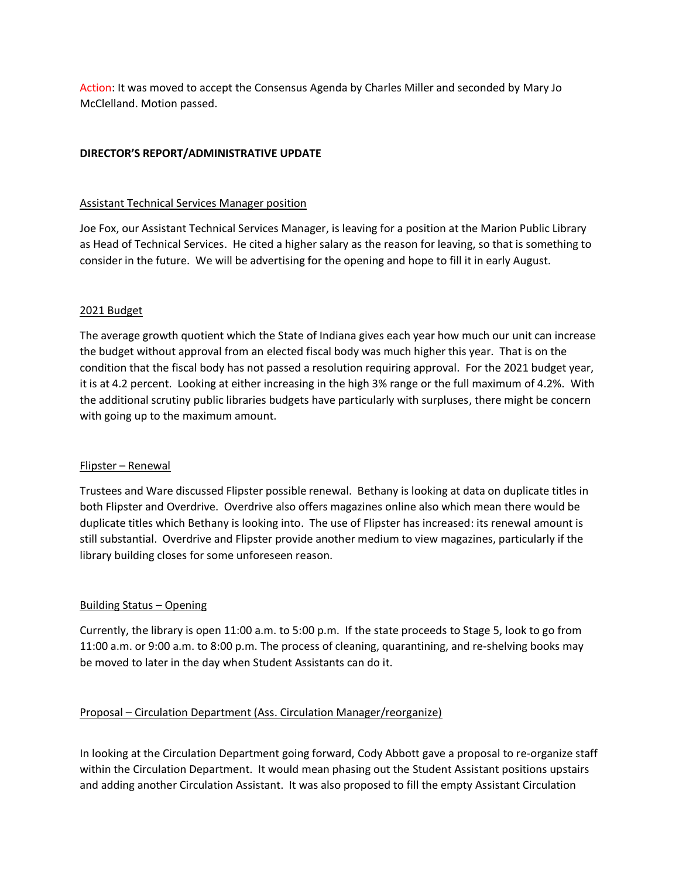Action: It was moved to accept the Consensus Agenda by Charles Miller and seconded by Mary Jo McClelland. Motion passed.

### **DIRECTOR'S REPORT/ADMINISTRATIVE UPDATE**

### Assistant Technical Services Manager position

Joe Fox, our Assistant Technical Services Manager, is leaving for a position at the Marion Public Library as Head of Technical Services. He cited a higher salary as the reason for leaving, so that is something to consider in the future. We will be advertising for the opening and hope to fill it in early August.

### 2021 Budget

The average growth quotient which the State of Indiana gives each year how much our unit can increase the budget without approval from an elected fiscal body was much higher this year. That is on the condition that the fiscal body has not passed a resolution requiring approval. For the 2021 budget year, it is at 4.2 percent. Looking at either increasing in the high 3% range or the full maximum of 4.2%. With the additional scrutiny public libraries budgets have particularly with surpluses, there might be concern with going up to the maximum amount.

### Flipster – Renewal

Trustees and Ware discussed Flipster possible renewal. Bethany is looking at data on duplicate titles in both Flipster and Overdrive. Overdrive also offers magazines online also which mean there would be duplicate titles which Bethany is looking into. The use of Flipster has increased: its renewal amount is still substantial. Overdrive and Flipster provide another medium to view magazines, particularly if the library building closes for some unforeseen reason.

### Building Status – Opening

Currently, the library is open 11:00 a.m. to 5:00 p.m. If the state proceeds to Stage 5, look to go from 11:00 a.m. or 9:00 a.m. to 8:00 p.m. The process of cleaning, quarantining, and re-shelving books may be moved to later in the day when Student Assistants can do it.

### Proposal – Circulation Department (Ass. Circulation Manager/reorganize)

In looking at the Circulation Department going forward, Cody Abbott gave a proposal to re-organize staff within the Circulation Department. It would mean phasing out the Student Assistant positions upstairs and adding another Circulation Assistant. It was also proposed to fill the empty Assistant Circulation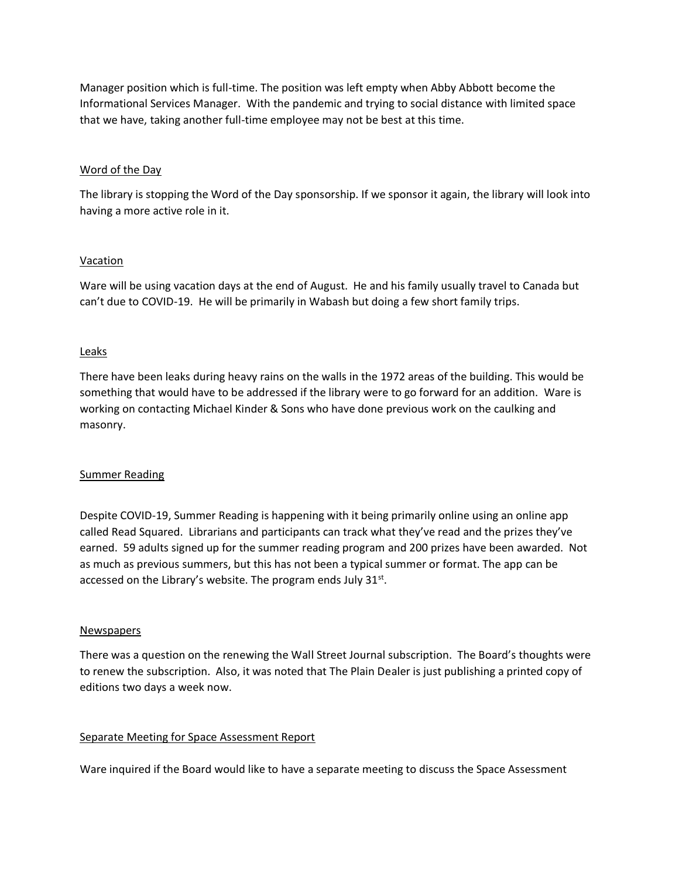Manager position which is full-time. The position was left empty when Abby Abbott become the Informational Services Manager. With the pandemic and trying to social distance with limited space that we have, taking another full-time employee may not be best at this time.

### Word of the Day

The library is stopping the Word of the Day sponsorship. If we sponsor it again, the library will look into having a more active role in it.

### **Vacation**

Ware will be using vacation days at the end of August. He and his family usually travel to Canada but can't due to COVID-19. He will be primarily in Wabash but doing a few short family trips.

### Leaks

There have been leaks during heavy rains on the walls in the 1972 areas of the building. This would be something that would have to be addressed if the library were to go forward for an addition. Ware is working on contacting Michael Kinder & Sons who have done previous work on the caulking and masonry.

#### Summer Reading

Despite COVID-19, Summer Reading is happening with it being primarily online using an online app called Read Squared. Librarians and participants can track what they've read and the prizes they've earned. 59 adults signed up for the summer reading program and 200 prizes have been awarded. Not as much as previous summers, but this has not been a typical summer or format. The app can be accessed on the Library's website. The program ends July 31 $^{\text{st}}$ .

#### **Newspapers**

There was a question on the renewing the Wall Street Journal subscription. The Board's thoughts were to renew the subscription. Also, it was noted that The Plain Dealer is just publishing a printed copy of editions two days a week now.

### Separate Meeting for Space Assessment Report

Ware inquired if the Board would like to have a separate meeting to discuss the Space Assessment